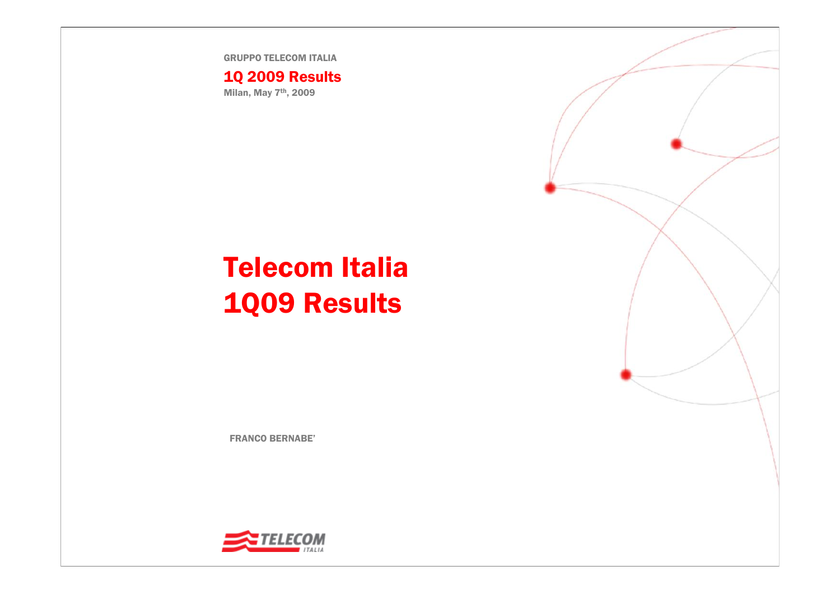GRUPPO TELECOM ITALIA

1Q 2009 Results Milan, May 7th, 2009

## Telecom Italia 1Q09 Results

FRANCO BERNABE'



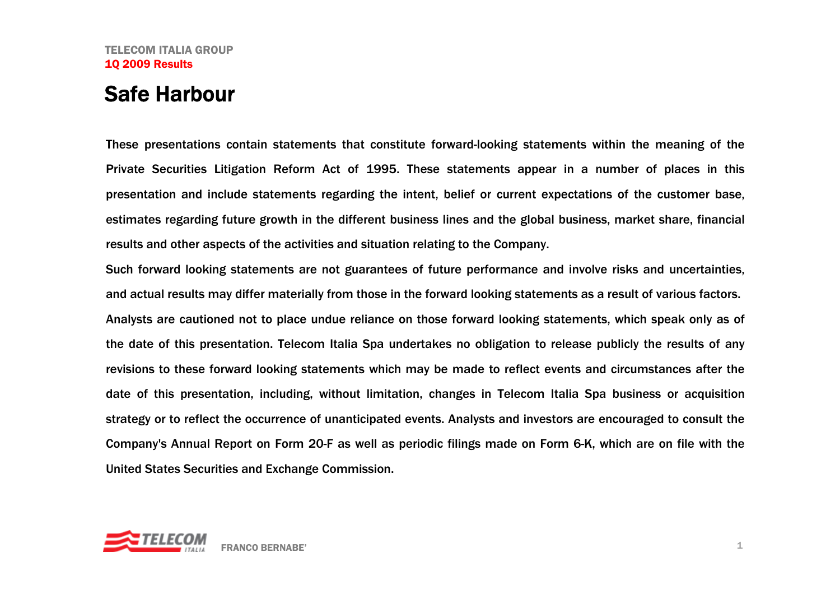## Safe Harbour

These presentations contain statements that constitute forward-looking statements within the meaning of the Private Securities Litigation Reform Act of 1995. These statements appear in a number of places in this presentation and include statements regarding the intent, belief or current expectations of the customer base, estimates regarding future growth in the different business lines and the global business, market share, financial results and other aspects of the activities and situation relating to the Company.

Such forward looking statements are not guarantees of future performance and involve risks and uncertainties, and actual results may differ materially from those in the forward looking statements as a result of various factors. Analysts are cautioned not to place undue reliance on those forward looking statements, which speak only as of the date of this presentation. Telecom Italia Spa undertakes no obligation to release publicly the results of any revisions to these forward looking statements which may be made to reflect events and circumstances after the date of this presentation, including, without limitation, changes in Telecom Italia Spa business or acquisition strategy or to reflect the occurrence of unanticipated events. Analysts and investors are encouraged to consult the Company's Annual Report on Form 20-F as well as periodic filings made on Form 6-K, which are on file with the United States Securities and Exchange Commission.

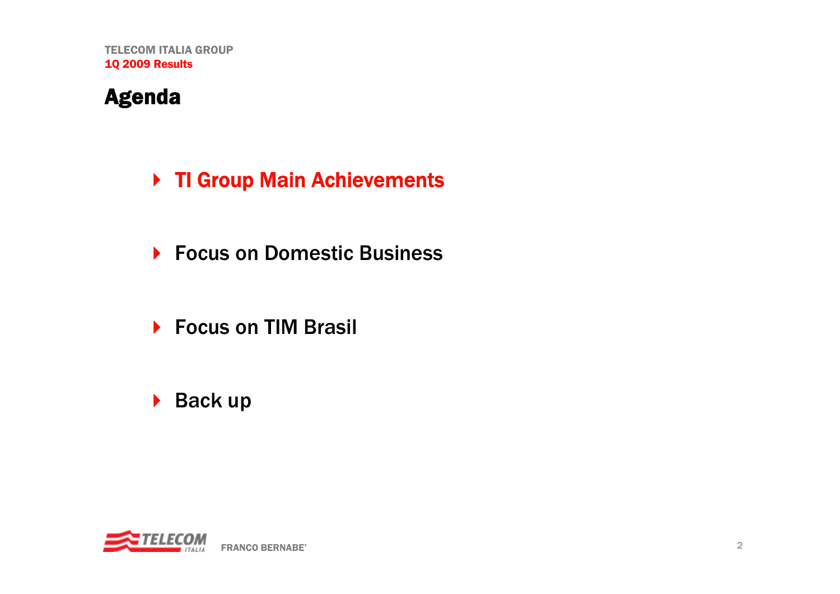## Agenda

## ▶ TI Group Main Achievements

- ▶ Focus on Domestic Business
- ▶ Focus on TIM Brasil
- ▶ Back up

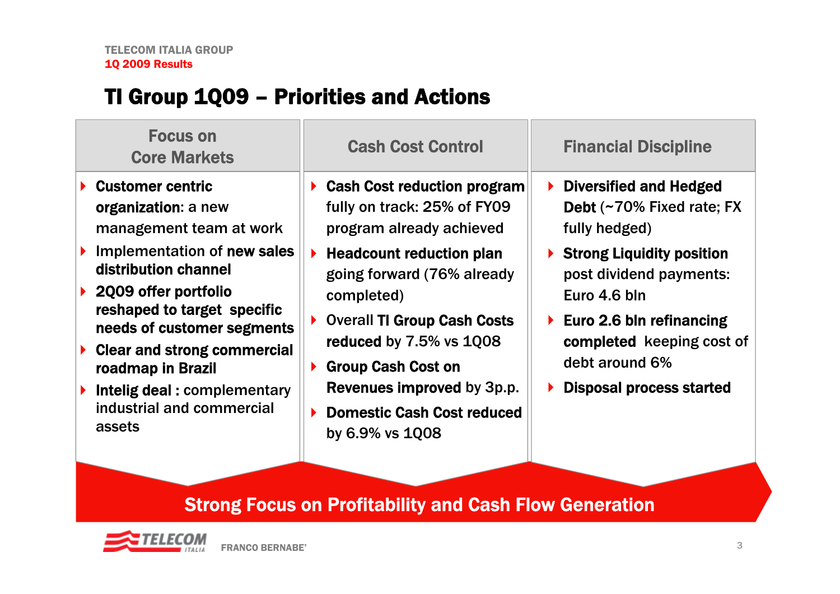## TI Group 1Q09 – Priorities and Actions

| <b>Focus on</b><br><b>Core Markets</b>                                                                                                                                                                                                                                                                                                                                | <b>Cash Cost Control</b>                                                                                                                                                                                                                                                                                                                                                                                                | <b>Financial Discipline</b>                                                                                                                                                                                                                                                   |
|-----------------------------------------------------------------------------------------------------------------------------------------------------------------------------------------------------------------------------------------------------------------------------------------------------------------------------------------------------------------------|-------------------------------------------------------------------------------------------------------------------------------------------------------------------------------------------------------------------------------------------------------------------------------------------------------------------------------------------------------------------------------------------------------------------------|-------------------------------------------------------------------------------------------------------------------------------------------------------------------------------------------------------------------------------------------------------------------------------|
| $\blacktriangleright$ Customer centric<br>organization: a new<br>management team at work<br>Implementation of new sales<br>distribution channel<br>2009 offer portfolio<br>reshaped to target specific<br>needs of customer segments<br><b>Clear and strong commercial</b><br>roadmap in Brazil<br>Intelig deal: complementary<br>industrial and commercial<br>assets | <b>Cash Cost reduction program</b><br>fully on track: 25% of FY09<br>program already achieved<br><b>Headcount reduction plan</b><br>$\blacktriangleright$<br>going forward (76% already<br>completed)<br><b>Overall TI Group Cash Costs</b><br>▶<br>reduced by 7.5% vs 1Q08<br><b>Group Cash Cost on</b><br>$\blacktriangleright$<br>Revenues improved by 3p.p.<br><b>Domestic Cash Cost reduced</b><br>by 6.9% vs 1008 | $\triangleright$ Diversified and Hedged<br>Debt (~70% Fixed rate; FX<br>fully hedged)<br>▶ Strong Liquidity position<br>post dividend payments:<br>Euro 4.6 bln<br>Euro 2.6 bln refinancing<br>completed keeping cost of<br>debt around 6%<br><b>Disposal process started</b> |
|                                                                                                                                                                                                                                                                                                                                                                       |                                                                                                                                                                                                                                                                                                                                                                                                                         |                                                                                                                                                                                                                                                                               |

## Strong Focus on Profitability and Cash Flow Generation

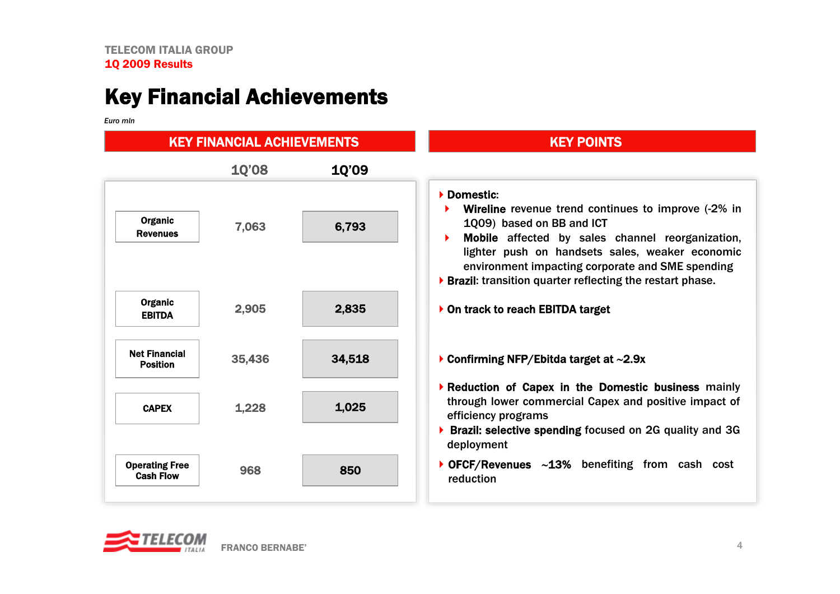## Key Financial Achievements

*Euro mln*

| Euro min                                  |                                   |              |                                                                                                                                                                                                                                                                                                                               |  |  |  |
|-------------------------------------------|-----------------------------------|--------------|-------------------------------------------------------------------------------------------------------------------------------------------------------------------------------------------------------------------------------------------------------------------------------------------------------------------------------|--|--|--|
|                                           | <b>KEY FINANCIAL ACHIEVEMENTS</b> |              | <b>KEY POINTS</b>                                                                                                                                                                                                                                                                                                             |  |  |  |
|                                           | <b>10'08</b>                      | <b>10'09</b> |                                                                                                                                                                                                                                                                                                                               |  |  |  |
| <b>Organic</b><br><b>Revenues</b>         | 7,063                             | 6,793        | Domestic:<br><b>Wireline</b> revenue trend continues to improve (-2% in<br>1Q09) based on BB and ICT<br>Mobile affected by sales channel reorganization,<br>lighter push on handsets sales, weaker economic<br>environment impacting corporate and SME spending<br>▶ Brazil: transition quarter reflecting the restart phase. |  |  |  |
| Organic<br><b>EBITDA</b>                  | 2,905                             | 2,835        | On track to reach EBITDA target                                                                                                                                                                                                                                                                                               |  |  |  |
| <b>Net Financial</b><br><b>Position</b>   | 35,436                            | 34,518       | Confirming NFP/Ebitda target at $\sim$ 2.9x                                                                                                                                                                                                                                                                                   |  |  |  |
| <b>CAPEX</b>                              | 1,228                             | 1,025        | Reduction of Capex in the Domestic business mainly<br>through lower commercial Capex and positive impact of<br>efficiency programs<br>▶ Brazil: selective spending focused on 2G quality and 3G<br>deployment                                                                                                                 |  |  |  |
| <b>Operating Free</b><br><b>Cash Flow</b> | 968                               | 850          | ▶ OFCF/Revenues ~13% benefiting from cash cost<br>reduction                                                                                                                                                                                                                                                                   |  |  |  |

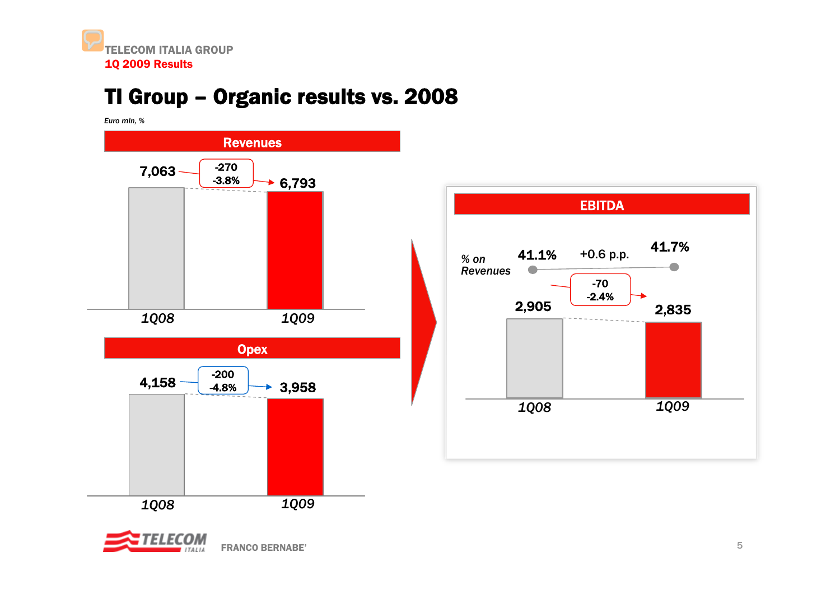## TI Group – Organic results vs. 2008

*Euro mln, %*





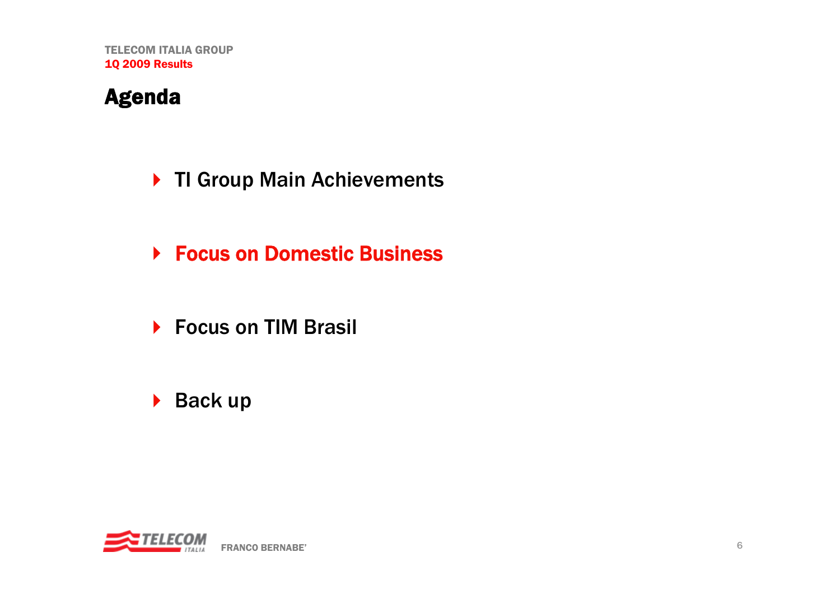## Agenda

- ▶ TI Group Main Achievements
- **▶ Focus on Domestic Business**
- ▶ Focus on TIM Brasil
- ▶ Back up

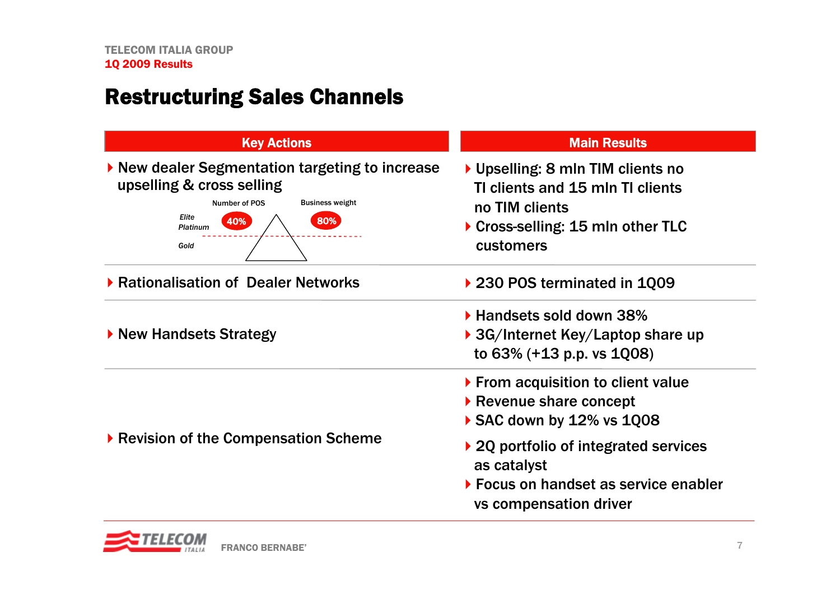## Restructuring Sales Channels

| <b>Key Actions</b>                                                                                                                                                 | <b>Main Results</b>                                                                                                                           |  |  |  |
|--------------------------------------------------------------------------------------------------------------------------------------------------------------------|-----------------------------------------------------------------------------------------------------------------------------------------------|--|--|--|
| ▶ New dealer Segmentation targeting to increase<br>upselling & cross selling<br><b>Business weight</b><br>Number of POS<br>Elite<br>80%<br>40%<br>Platinum<br>Gold | ▶ Upselling: 8 mln TIM clients no<br>TI clients and 15 mln TI clients<br>no TIM clients<br>▶ Cross-selling: 15 mln other TLC<br>customers     |  |  |  |
| ▶ Rationalisation of Dealer Networks                                                                                                                               | ▶ 230 POS terminated in 1Q09                                                                                                                  |  |  |  |
| ▶ New Handsets Strategy                                                                                                                                            | ▶ Handsets sold down 38%<br>$\triangleright$ 3G/Internet Key/Laptop share up<br>to $63\%$ (+13 p.p. vs $1008$ )                               |  |  |  |
|                                                                                                                                                                    | ▶ From acquisition to client value<br>$\blacktriangleright$ Revenue share concept<br>SAC down by $12\%$ vs $1008$                             |  |  |  |
| ▶ Revision of the Compensation Scheme                                                                                                                              | ▶ 2Q portfolio of integrated services<br>as catalyst<br>$\triangleright$ Focus on handset as service enabler<br><b>vs compensation driver</b> |  |  |  |

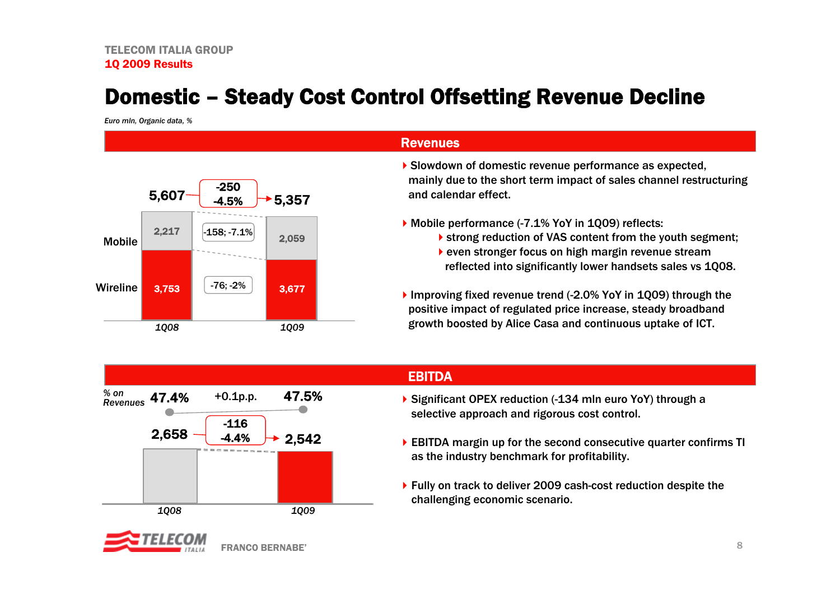## Domestic – Steady Cost Control Offsetting Revenue Decline

*Euro mln, Organic data, %*



### Revenues

- Slowdown of domestic revenue performance as expected, mainly due to the short term impact of sales channel restructuring and calendar effect.
- Mobile performance (-7.1% YoY in 1Q09) reflects:
	- **Strong reduction of VAS content from the youth segment;**
	- even stronger focus on high margin revenue stream reflected into significantly lower handsets sales vs 1Q08.
- Improving fixed revenue trend (-2.0% YoY in 1Q09) through the positive impact of regulated price increase, steady broadband growth boosted by Alice Casa and continuous uptake of ICT.



FRANCO BERNABE'

### EBITDA

- ▶ Significant OPEX reduction (-134 mln euro YoY) through a selective approach and rigorous cost control.
- EBITDA margin up for the second consecutive quarter confirms TI as the industry benchmark for profitability.
- ▶ Fully on track to deliver 2009 cash-cost reduction despite the challenging economic scenario.

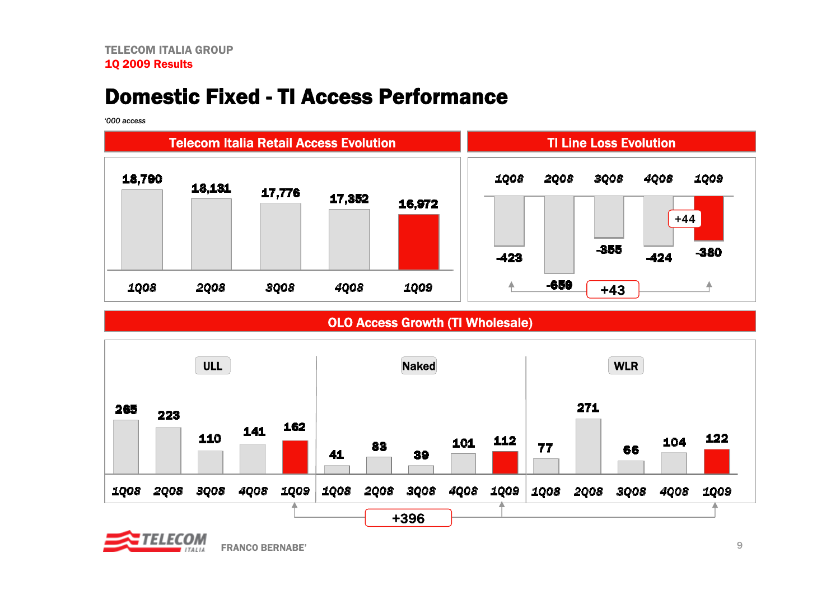## Domestic Fixed - TI Access Performance

*'000 access*



OLO Access Growth (TI Wholesale)



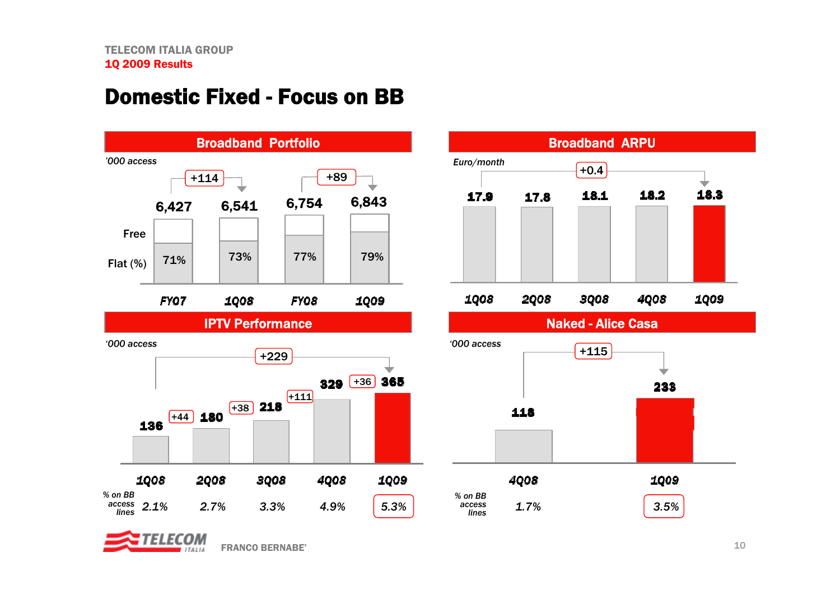## Domestic Fixed - Focus on BB





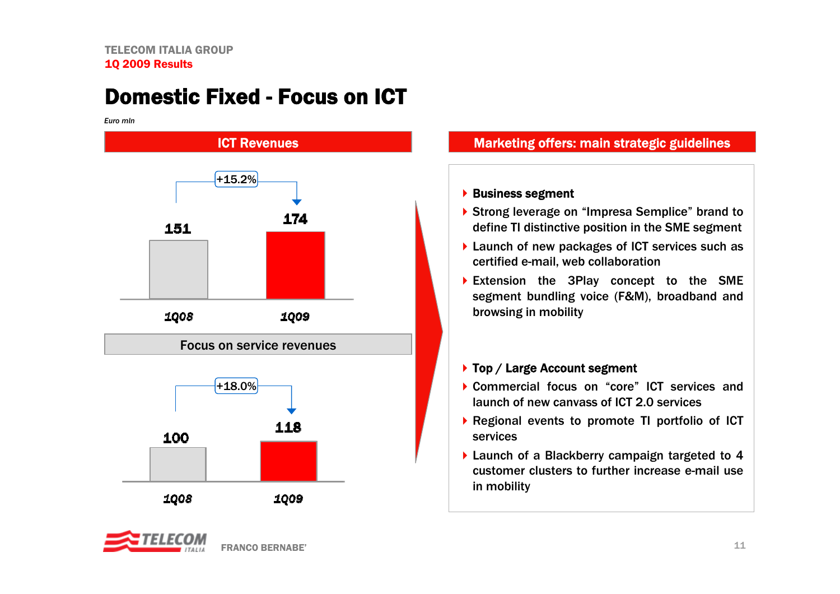## Domestic Fixed -Focus on ICT

*Euro mln*



### Marketing offers: main strategic guidelines

### ▶ Business segment

- ▶ Strong leverage on "Impresa Semplice" brand to define TI distinctive position in the SME segment
- ▶ Launch of new packages of ICT services such as certified e-mail, web collaboration
- Extension the 3Play concept to the SME segment bundling voice (F&M), broadband and browsing in mobility

### ▶ Top / Large Account segment

- Commercial focus on "core" ICT services and launch of new canvass of ICT 2.0 services
- Regional events to promote TI portfolio of ICT services
- Launch of a Blackberry campaign targeted to 4 customer clusters to further increase e-mail use in mobility

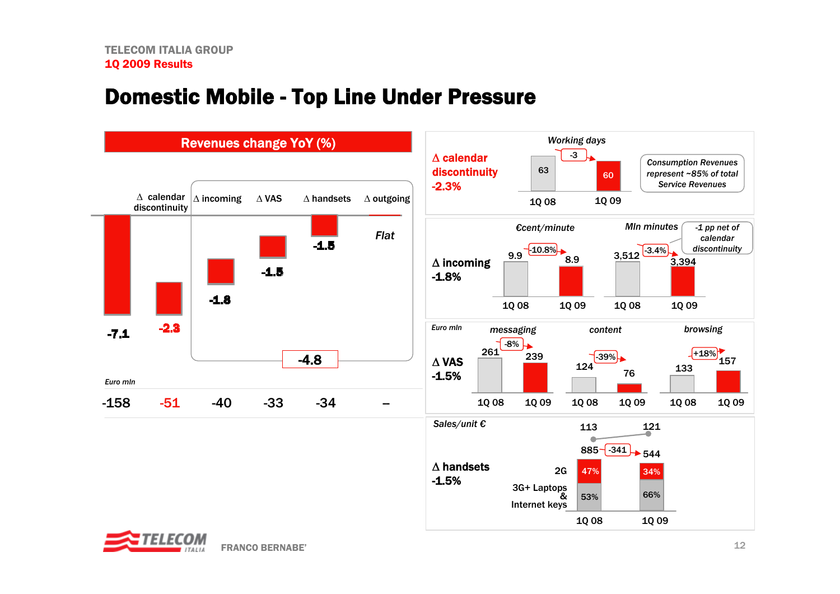## Domestic Mobile - Top Line Under Pressure



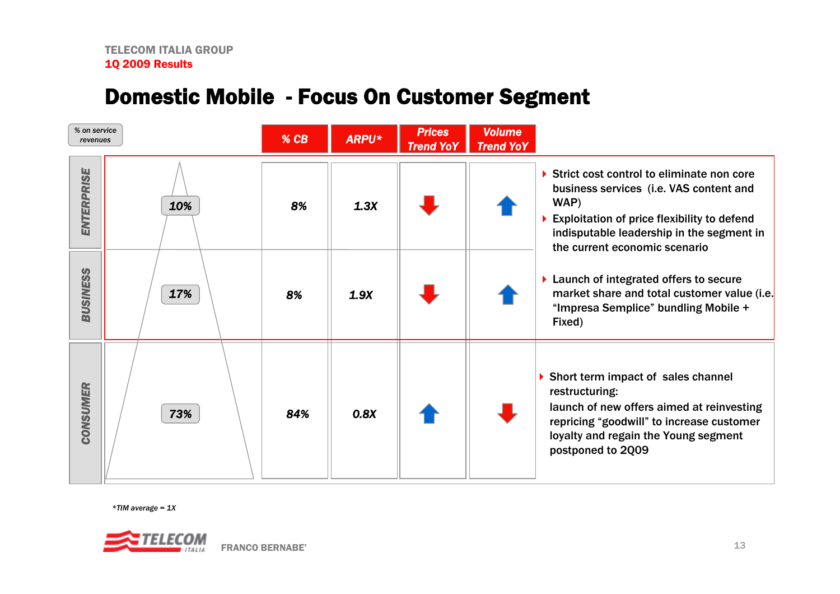## Domestic Mobile - Focus On Customer Segment

| % on service<br>revenues |     | % CB | <b>ARPU*</b> | <b>Prices</b><br><b>Trend YoY</b> | <b>Volume</b><br><b>Trend YoY</b> |                                                                                                                                                                                                                           |
|--------------------------|-----|------|--------------|-----------------------------------|-----------------------------------|---------------------------------------------------------------------------------------------------------------------------------------------------------------------------------------------------------------------------|
| <b>ENTERPRISE</b>        | 10% | 8%   | 1.3X         |                                   |                                   | Strict cost control to eliminate non core<br>business services (i.e. VAS content and<br>WAP)<br>Exploitation of price flexibility to defend<br>indisputable leadership in the segment in<br>the current economic scenario |
| <b>BUSINESS</b>          | 17% | 8%   | 1.9X         |                                   |                                   | ▶ Launch of integrated offers to secure<br>market share and total customer value (i.e.<br>"Impresa Semplice" bundling Mobile +<br>Fixed)                                                                                  |
| <b>CONSUMER</b>          | 73% | 84%  | 0.8X         |                                   |                                   | Short term impact of sales channel<br>restructuring:<br>launch of new offers aimed at reinvesting<br>repricing "goodwill" to increase customer<br>loyalty and regain the Young segment<br>postponed to 2Q09               |

*\*TIM average = 1X*

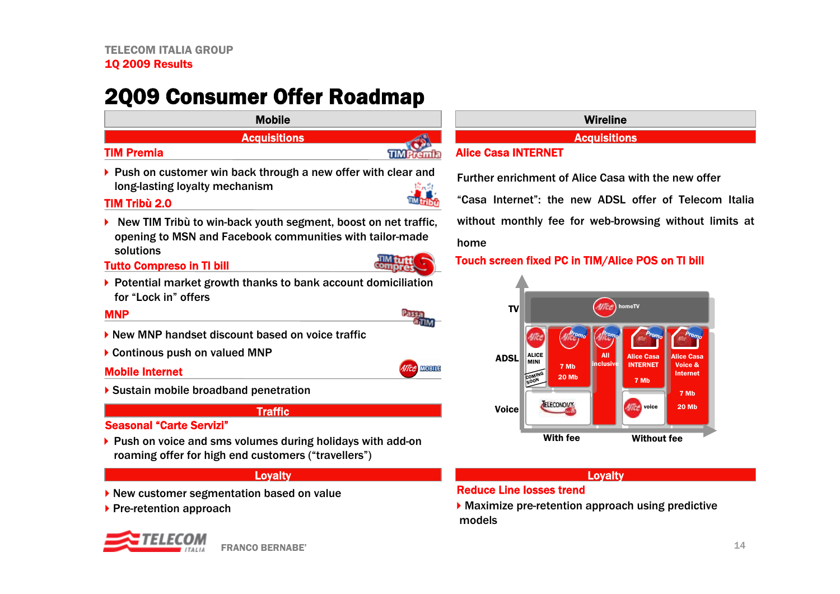## 2Q09 Consumer Offer Roadmap

### Mobile**Acquisitions** TIM Premia**TIMPremia**  $\blacktriangleright$  Push on customer win back through a new offer with clear and long-lasting loyalty mechanism TIM Tribù 2.0 New TIM Tribù to win-back youth segment, boost on net traffic, opening to MSN and Facebook communities with tailor-made



**MOBILE** 

- Tutto Compreso in TI bill
- ▶ Potential market growth thanks to bank account domiciliation for "Lock in" offers

### **MNP**

▶

- ▶ New MNP handset discount based on voice traffic
- ▶ Continous push on valued MNP

### Mobile Internet

solutions

▶ Sustain mobile broadband penetration

### Traffic

### Seasonal"Carte Servizi"

 roaming offer for high end customers ("travellers") ▶ Push on voice and sms volumes during holidays with add-on

### Loyalty

- ▶ New customer segmentation based on value
- $\blacktriangleright$  Pre-retention approach



| е    | <b>Wireline</b> |  |  |
|------|-----------------|--|--|
| ions |                 |  |  |

### Alice Casa INTERNET

Further enrichment of Alice Casa with the new offer

"Casa Internet": the new ADSL offer of Telecom Italiawithout monthly fee for web-browsing without limits at home

### Touch screen fixed PC in TIM/Alice POS on TI bill



### Loyalty

### Reduce Line losses trend

Maximize pre-retention approach using predictive models

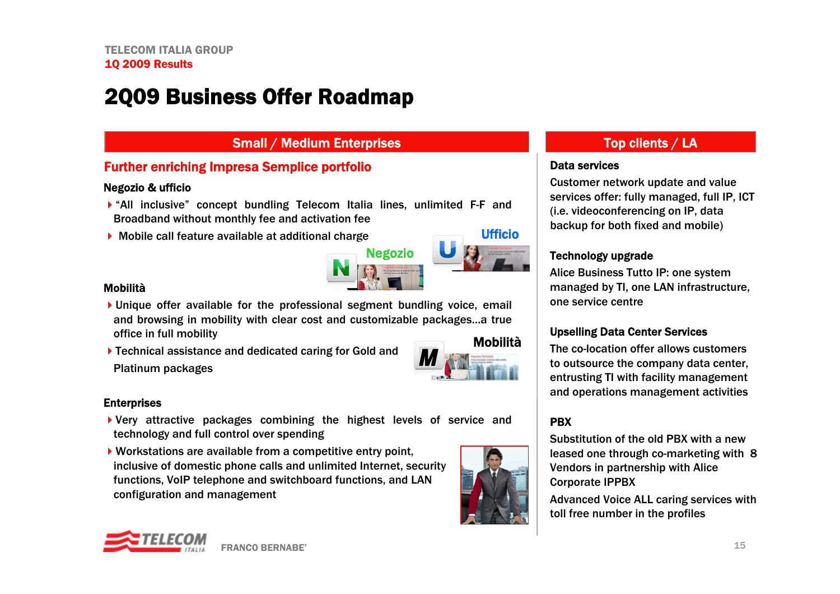## 2Q09 Business Offer Roadmap

### Small / Medium Enterprises Top clients / LA

### Further enriching Impresa Semplice portfolio

### Negozio & ufficio

- "All inclusive" concept bundling Telecom Italia lines, unlimited F-F and Broadband without monthly fee and activation fee
- Mobile call feature available at additional charge



### Mobilità

- Unique offer available for the professional segment bundling voice, email and browsing in mobility with clear cost and customizable packages…a true office in full mobility Mobilità
- ▶ Technical assistance and dedicated caring for Gold and Platinum packages

### **Enterprises**

- Very attractive packages combining the highest levels of service and technology and full control over spending
- Workstations are available from a competitive entry point, inclusive of domestic phone calls and unlimited Internet, security functions, VoIP telephone and switchboard functions, and LAN configuration and management



### Data services

Customer network update and value services offer: fully managed, full IP, ICT (i.e. videoconferencing on IP, data backup for both fixed and mobile)

### Technology upgrade

Alice Business Tutto IP: one system managed by TI, one LAN infrastructure, one service centre

### Upselling Data Center Services

 to outsource the company data center, The co-location offer allows customers entrusting TI with facility management and operations management activities

### PBX

Substitution of the old PBX with a new leased one through co-marketing with 8 Vendors in partnership with Alice Corporate IPPBX

Advanced Voice ALL caring services with toll free number in the profiles

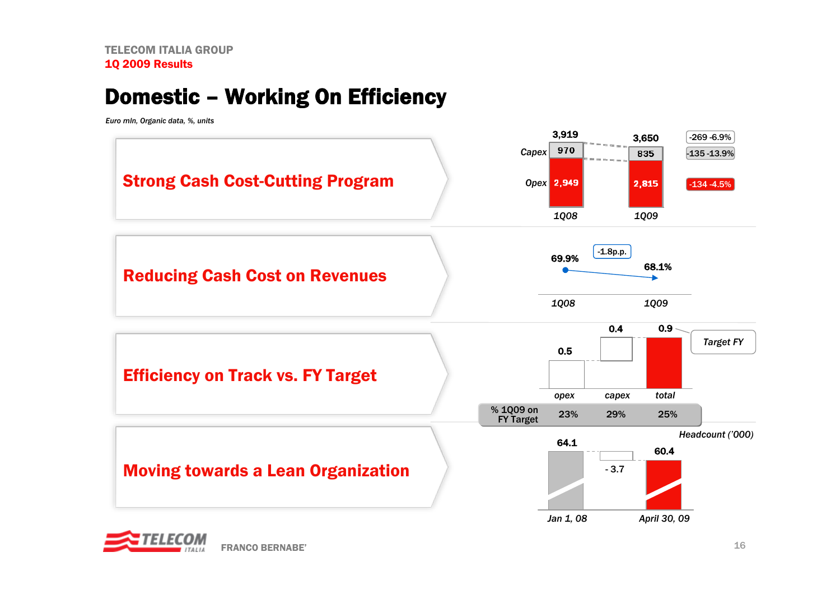## Domestic – Working On Efficiency

*Euro mln, Organic data, %, units* 



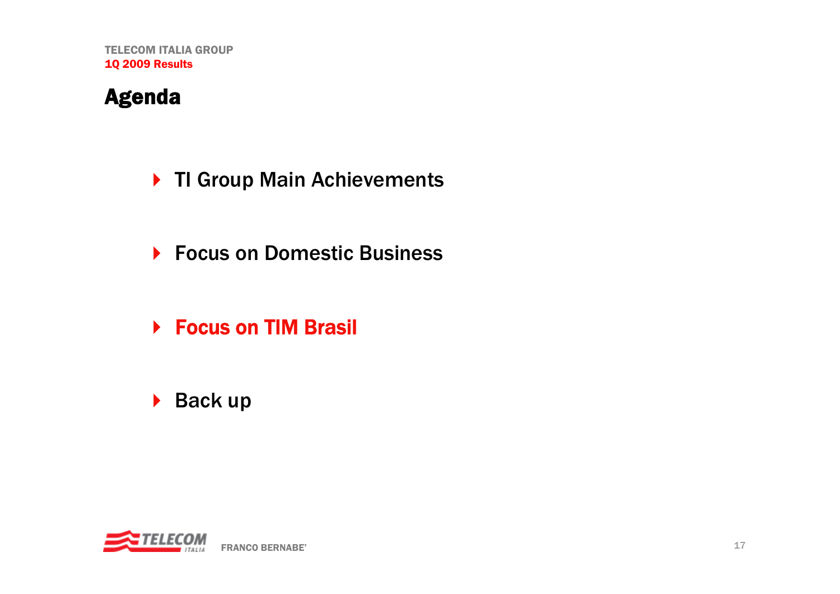## Agenda

- ▶ TI Group Main Achievements
- ▶ Focus on Domestic Business
- ▶ Focus on TIM Brasil
- ▶ Back up

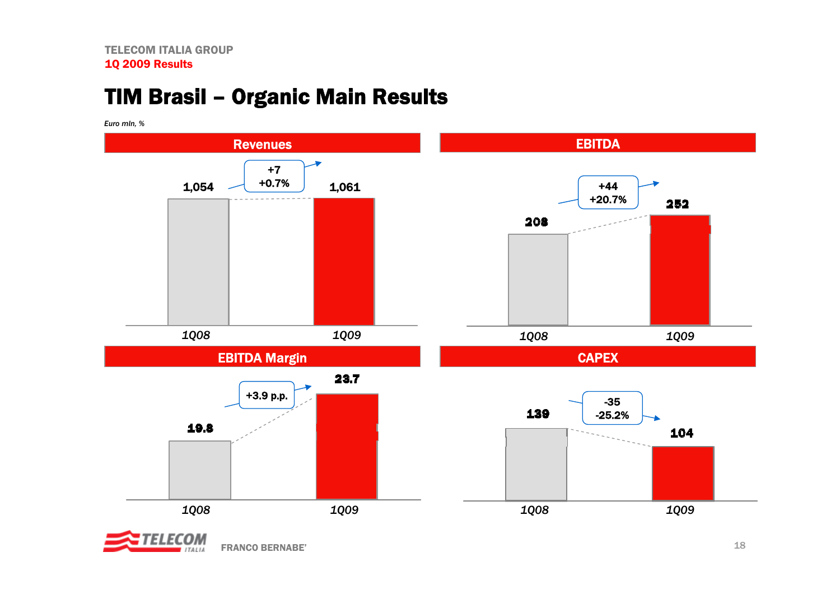## TIM Brasil – Organic Main Results

*Euro mln, %*



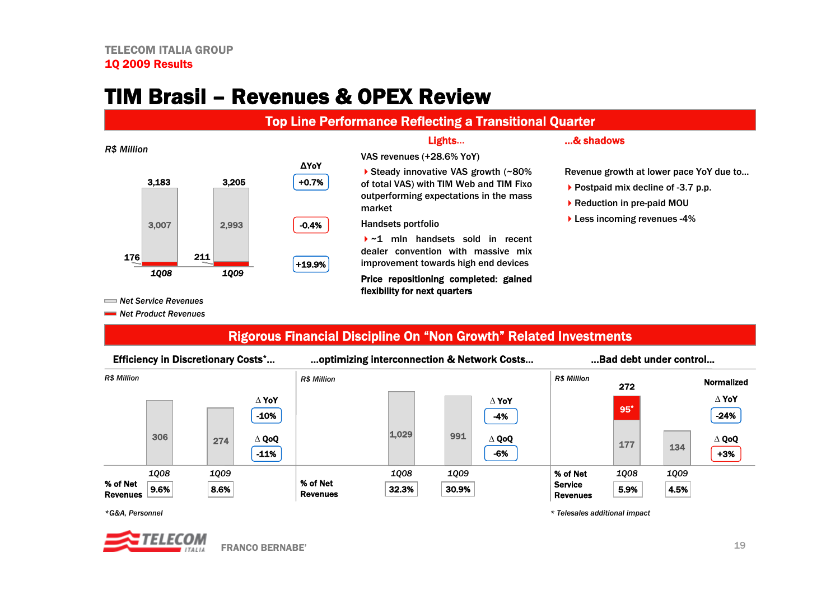## TIM Brasil – Revenues & OPEX Review

### Top Line Performance Reflecting a Transitional Quarter

VAS revenues (+28.6% YoY)

market

Handsets portfolio

### *R\$ Million*



Lights…

▶ Steady innovative VAS growth (~80%) of total VAS) with TIM Web and TIM Fixo outperforming expectations in the mass

~1 mln handsets sold in recent dealer convention with massive miximprovement towards high end devices Price repositioning completed: gained

### …& shadows

Revenue growth at lower pace YoY due to…

- ▶ Postpaid mix decline of -3.7 p.p.
- ▶ Reduction in pre-paid MOU
- **Less incoming revenues -4%**

*Net Service Revenues*

*Net Product Revenues*

### Rigorous Financial Discipline On "Non Growth" Related Investments

flexibility for next quarters

| <b>Efficiency in Discretionary Costs*</b> |                               | optimizing interconnection & Network Costs |       |                            | Bad debt under control            |             |                              |  |
|-------------------------------------------|-------------------------------|--------------------------------------------|-------|----------------------------|-----------------------------------|-------------|------------------------------|--|
| <b>R\$ Million</b>                        |                               | <b>R\$ Million</b>                         |       |                            | <b>R\$ Million</b>                | 272         | <b>Normalized</b>            |  |
|                                           | $\Delta$ YoY<br>$-10%$        |                                            |       | $\Delta$ YoY<br>-4%        |                                   | $95^*$      | $\Delta$ YoY<br>$-24%$       |  |
| 306                                       | $\Delta$ QoQ<br>274<br>$-11%$ |                                            | 1.029 | 991<br>$\Delta$ QoQ<br>-6% |                                   | 177         | $\Delta$ QoQ<br>134<br>$+3%$ |  |
| 1008                                      | 1009                          |                                            | 1008  | 1009                       | % of Net                          | <b>1Q08</b> | <b>1Q09</b>                  |  |
| % of Net<br>9.6%<br><b>Revenues</b>       | 8.6%                          | % of Net<br><b>Revenues</b>                | 32.3% | 30.9%                      | <b>Service</b><br><b>Revenues</b> | 5.9%        | 4.5%                         |  |

*\*G&A, Personnel*



*\* Telesales additional impact*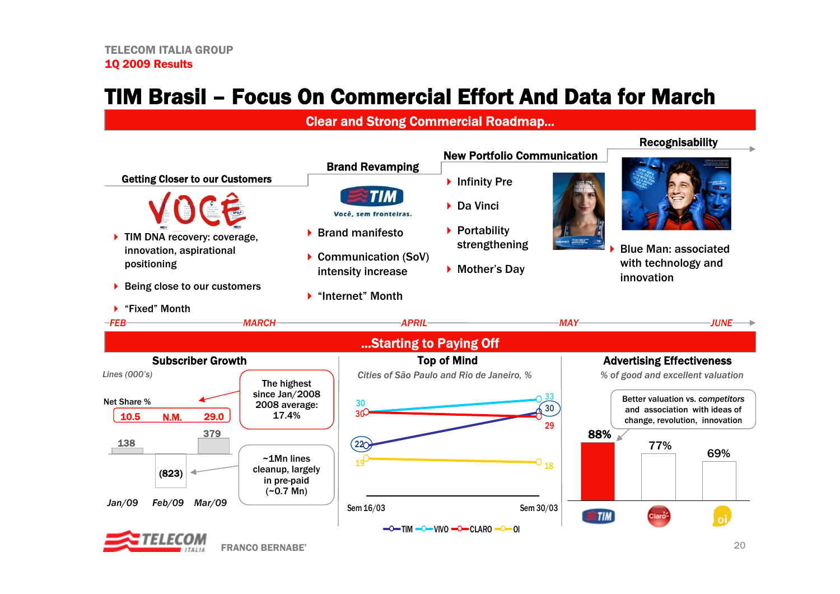## TIM Brasil – Focus On Commercial Effort And Data for March

### Clear and Strong Commercial Roadmap...

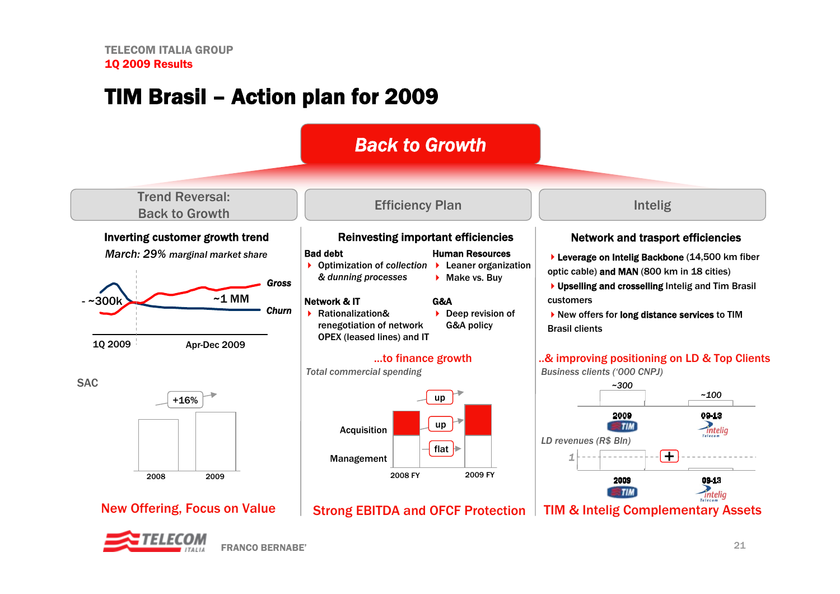## TIM Brasil – Action plan for 2009

## *Back to Growth*

Trend Reversal: Back to Growth

*March: 29% marginal market share*





# +16%2008 2009

### Efficiency Plan Intelig

### Inverting customer growth trend Reinvesting important efficiencies

### Bad debt

▶ Optimization of *collection* ▶ Leaner organization *& dunning processes*

### Network & IT

- ▶ Rationalization& renegotiation of network OPEX (leased lines) and IT
- $\triangleright$  Deep revision of

G&A

## G&A policy

Human Resources

▶ Make vs. Buy

### ...to finance growth

*Total commercial spending*



### New Offering, Focus on Value | Strong EBITDA and OFCF Protection

### Network and trasport efficiencies

- ▶ Leverage on Intelig Backbone (14,500 km fiber optic cable) and MAN (800 km in 18 cities)
- ▶ Upselling and crosselling Intelig and Tim Brasil customers
- ▶ New offers for long distance services to TIM Brasil clients

### ..& improving positioning on LD & Top Clients

*Business clients ('000 CNPJ)*



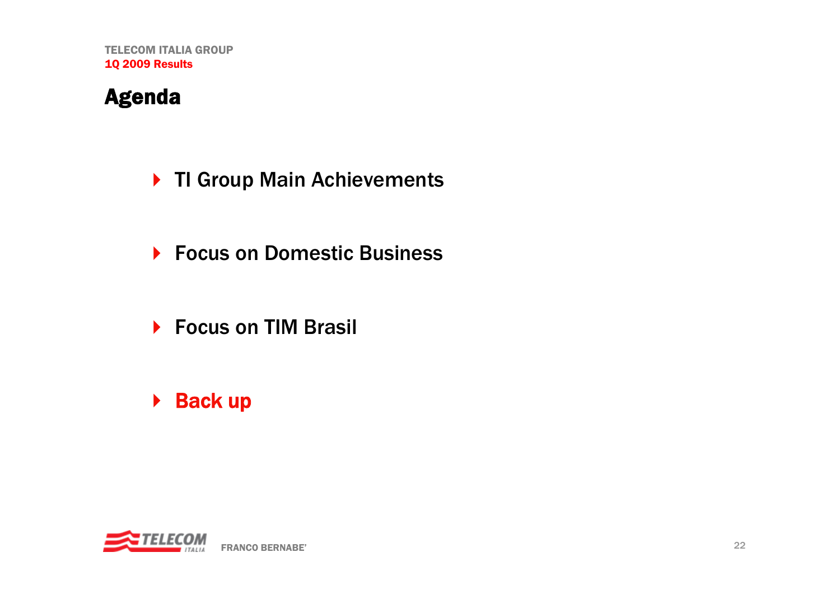## Agenda

- ▶ TI Group Main Achievements
- ▶ Focus on Domestic Business
- ▶ Focus on TIM Brasil
- ▶ Back up